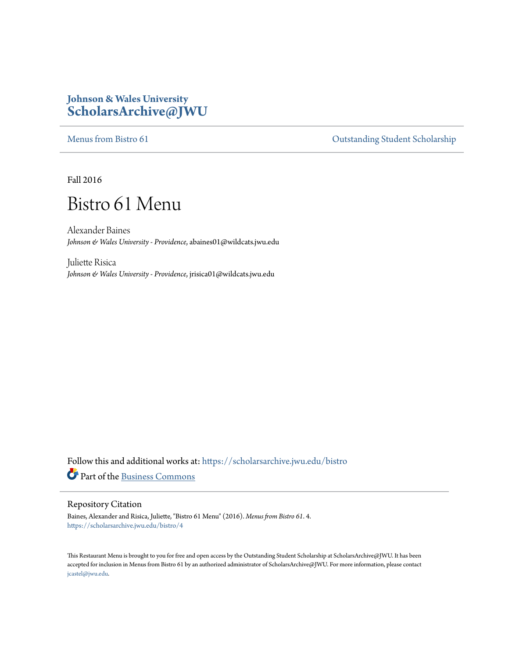### **Johnson & Wales University [ScholarsArchive@JWU](https://scholarsarchive.jwu.edu?utm_source=scholarsarchive.jwu.edu%2Fbistro%2F4&utm_medium=PDF&utm_campaign=PDFCoverPages)**

[Menus from Bistro 61](https://scholarsarchive.jwu.edu/bistro?utm_source=scholarsarchive.jwu.edu%2Fbistro%2F4&utm_medium=PDF&utm_campaign=PDFCoverPages) Contract of Contract of Contract of Contract of Contract of Contract of Contract of Contract of Contract of Contract of Contract of Contract of Contract of Contract of Contract of Contract of Contract

Fall 2016

# Bistro 61 Menu

Alexander Baines *Johnson & Wales University - Providence*, abaines01@wildcats.jwu.edu

Juliette Risica *Johnson & Wales University - Providence*, jrisica01@wildcats.jwu.edu

Follow this and additional works at: [https://scholarsarchive.jwu.edu/bistro](https://scholarsarchive.jwu.edu/bistro?utm_source=scholarsarchive.jwu.edu%2Fbistro%2F4&utm_medium=PDF&utm_campaign=PDFCoverPages) Part of the [Business Commons](http://network.bepress.com/hgg/discipline/622?utm_source=scholarsarchive.jwu.edu%2Fbistro%2F4&utm_medium=PDF&utm_campaign=PDFCoverPages)

#### Repository Citation

Baines, Alexander and Risica, Juliette, "Bistro 61 Menu" (2016). *Menus from Bistro 61*. 4. [https://scholarsarchive.jwu.edu/bistro/4](https://scholarsarchive.jwu.edu/bistro/4?utm_source=scholarsarchive.jwu.edu%2Fbistro%2F4&utm_medium=PDF&utm_campaign=PDFCoverPages)

This Restaurant Menu is brought to you for free and open access by the Outstanding Student Scholarship at ScholarsArchive@JWU. It has been accepted for inclusion in Menus from Bistro 61 by an authorized administrator of ScholarsArchive@JWU. For more information, please contact [jcastel@jwu.edu.](mailto:jcastel@jwu.edu)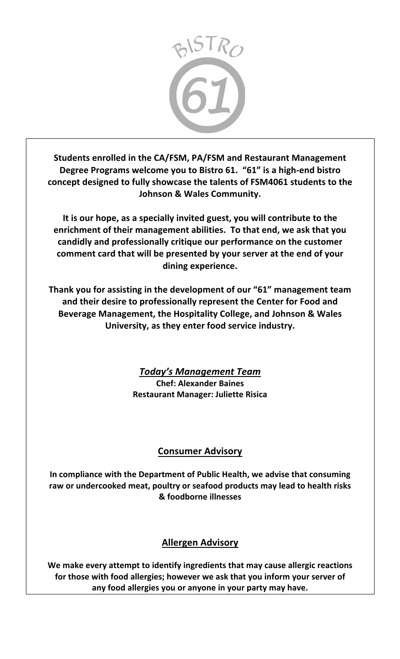

Students enrolled in the CA/FSM, PA/FSM and Restaurant Management Degree Programs welcome you to Bistro 61. "61" is a high-end bistro concept designed to fully showcase the talents of FSM4061 students to the **Johnson & Wales Community.** 

It is our hope, as a specially invited guest, you will contribute to the enrichment of their management abilities. To that end, we ask that you candidly and professionally critique our performance on the customer comment card that will be presented by your server at the end of your dining experience.

Thank you for assisting in the development of our "61" management team and their desire to professionally represent the Center for Food and Beverage Management, the Hospitality College, and Johnson & Wales University, as they enter food service industry.

> *Today's Management Team* **Chef: Alexander Baines Restaurant Manager: Juliette Risica**

# **Consumer Advisory**

In compliance with the Department of Public Health, we advise that consuming raw or undercooked meat, poultry or seafood products may lead to health risks **& foodborne illnesses**

## **Allergen Advisory**

We make every attempt to identify ingredients that may cause allergic reactions for those with food allergies; however we ask that you inform your server of any food allergies you or anyone in your party may have.